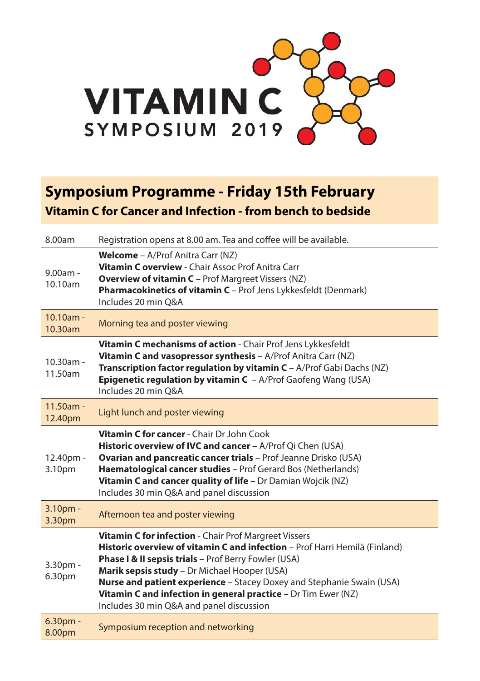

## **Symposium Programme - Friday 15th February Vitamin C for Cancer and Infection - from bench to bedside**

| 8.00am                       | Registration opens at 8.00 am. Tea and coffee will be available.                                                                                                                                                                                                                                                                                                                                                                   |
|------------------------------|------------------------------------------------------------------------------------------------------------------------------------------------------------------------------------------------------------------------------------------------------------------------------------------------------------------------------------------------------------------------------------------------------------------------------------|
| 9.00am -<br>10.10am          | <b>Welcome</b> - A/Prof Anitra Carr (NZ)<br>Vitamin C overview - Chair Assoc Prof Anitra Carr<br><b>Overview of vitamin C</b> - Prof Margreet Vissers (NZ)<br><b>Pharmacokinetics of vitamin C</b> - Prof Jens Lykkesfeldt (Denmark)<br>Includes 20 min O&A                                                                                                                                                                        |
| $10.10am -$<br>10.30am       | Morning tea and poster viewing                                                                                                                                                                                                                                                                                                                                                                                                     |
| $10.30$ am -<br>11.50am      | Vitamin C mechanisms of action - Chair Prof Jens Lykkesfeldt<br>Vitamin C and vasopressor synthesis - A/Prof Anitra Carr (NZ)<br>Transcription factor regulation by vitamin C - A/Prof Gabi Dachs (NZ)<br><b>Epigenetic regulation by vitamin C</b> $-$ A/Prof Gaofeng Wang (USA)<br>Includes 20 min O&A                                                                                                                           |
| $11.50am -$<br>12.40pm       | Light lunch and poster viewing                                                                                                                                                                                                                                                                                                                                                                                                     |
| 12.40pm -<br>3.10pm          | Vitamin C for cancer - Chair Dr John Cook<br><b>Historic overview of IVC and cancer</b> - A/Prof Qi Chen (USA)<br>Ovarian and pancreatic cancer trials - Prof Jeanne Drisko (USA)<br>Haematological cancer studies - Prof Gerard Bos (Netherlands)<br>Vitamin C and cancer quality of life - Dr Damian Wojcik (NZ)<br>Includes 30 min Q&A and panel discussion                                                                     |
| 3.10 <sub>pm</sub><br>3.30pm | Afternoon tea and poster viewing                                                                                                                                                                                                                                                                                                                                                                                                   |
| 3.30pm -<br>6.30pm           | Vitamin C for infection - Chair Prof Margreet Vissers<br>Historic overview of vitamin C and infection - Prof Harri Hemilä (Finland)<br>Phase I & II sepsis trials - Prof Berry Fowler (USA)<br>Marik sepsis study - Dr Michael Hooper (USA)<br>Nurse and patient experience - Stacey Doxey and Stephanie Swain (USA)<br>Vitamin C and infection in general practice - Dr Tim Ewer (NZ)<br>Includes 30 min Q&A and panel discussion |
| $6.30pm$ -<br>8.00pm         | Symposium reception and networking                                                                                                                                                                                                                                                                                                                                                                                                 |